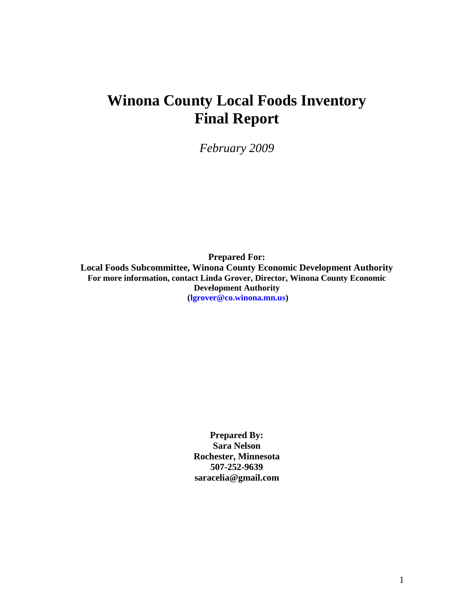# **Winona County Local Foods Inventory Final Report**

*February 2009*

**Prepared For: Local Foods Subcommittee, Winona County Economic Development Authority For more information, contact Linda Grover, Director, Winona County Economic Development Authority (lgrover@co.winona.mn.us)**

> **Prepared By: Sara Nelson Rochester, Minnesota 507-252-9639 saracelia@gmail.com**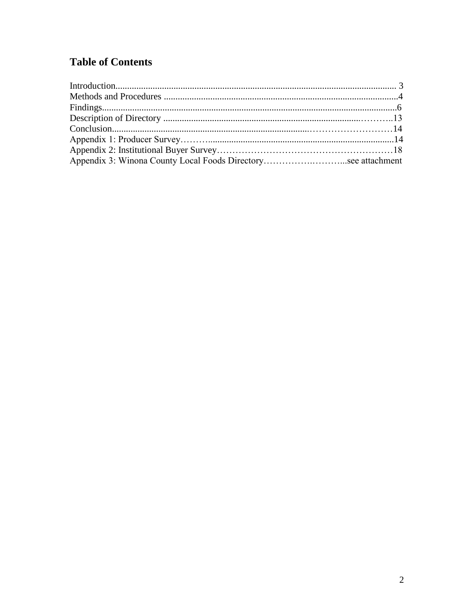# **Table of Contents**

| Appendix 3: Winona County Local Foods Directorysee attachment |  |
|---------------------------------------------------------------|--|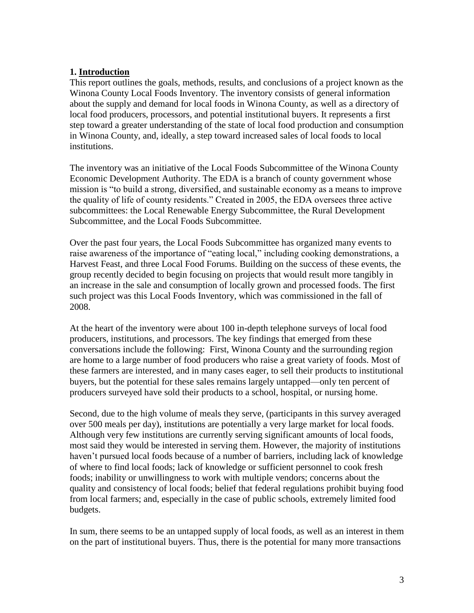### **1. Introduction**

This report outlines the goals, methods, results, and conclusions of a project known as the Winona County Local Foods Inventory. The inventory consists of general information about the supply and demand for local foods in Winona County, as well as a directory of local food producers, processors, and potential institutional buyers. It represents a first step toward a greater understanding of the state of local food production and consumption in Winona County, and, ideally, a step toward increased sales of local foods to local institutions.

The inventory was an initiative of the Local Foods Subcommittee of the Winona County Economic Development Authority. The EDA is a branch of county government whose mission is "to build a strong, diversified, and sustainable economy as a means to improve the quality of life of county residents." Created in 2005, the EDA oversees three active subcommittees: the Local Renewable Energy Subcommittee, the Rural Development Subcommittee, and the Local Foods Subcommittee.

Over the past four years, the Local Foods Subcommittee has organized many events to raise awareness of the importance of "eating local," including cooking demonstrations, a Harvest Feast, and three Local Food Forums. Building on the success of these events, the group recently decided to begin focusing on projects that would result more tangibly in an increase in the sale and consumption of locally grown and processed foods. The first such project was this Local Foods Inventory, which was commissioned in the fall of 2008.

At the heart of the inventory were about 100 in-depth telephone surveys of local food producers, institutions, and processors. The key findings that emerged from these conversations include the following: First, Winona County and the surrounding region are home to a large number of food producers who raise a great variety of foods. Most of these farmers are interested, and in many cases eager, to sell their products to institutional buyers, but the potential for these sales remains largely untapped—only ten percent of producers surveyed have sold their products to a school, hospital, or nursing home.

Second, due to the high volume of meals they serve, (participants in this survey averaged over 500 meals per day), institutions are potentially a very large market for local foods. Although very few institutions are currently serving significant amounts of local foods, most said they would be interested in serving them. However, the majority of institutions haven't pursued local foods because of a number of barriers, including lack of knowledge of where to find local foods; lack of knowledge or sufficient personnel to cook fresh foods; inability or unwillingness to work with multiple vendors; concerns about the quality and consistency of local foods; belief that federal regulations prohibit buying food from local farmers; and, especially in the case of public schools, extremely limited food budgets.

In sum, there seems to be an untapped supply of local foods, as well as an interest in them on the part of institutional buyers. Thus, there is the potential for many more transactions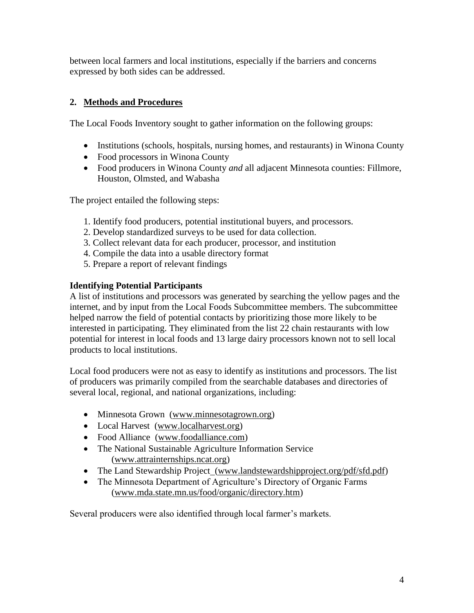between local farmers and local institutions, especially if the barriers and concerns expressed by both sides can be addressed.

# **2. Methods and Procedures**

The Local Foods Inventory sought to gather information on the following groups:

- Institutions (schools, hospitals, nursing homes, and restaurants) in Winona County
- Food processors in Winona County
- Food producers in Winona County *and* all adjacent Minnesota counties: Fillmore, Houston, Olmsted, and Wabasha

The project entailed the following steps:

- 1. Identify food producers, potential institutional buyers, and processors.
- 2. Develop standardized surveys to be used for data collection.
- 3. Collect relevant data for each producer, processor, and institution
- 4. Compile the data into a usable directory format
- 5. Prepare a report of relevant findings

# **Identifying Potential Participants**

A list of institutions and processors was generated by searching the yellow pages and the internet, and by input from the Local Foods Subcommittee members. The subcommittee helped narrow the field of potential contacts by prioritizing those more likely to be interested in participating. They eliminated from the list 22 chain restaurants with low potential for interest in local foods and 13 large dairy processors known not to sell local products to local institutions.

Local food producers were not as easy to identify as institutions and processors. The list of producers was primarily compiled from the searchable databases and directories of several local, regional, and national organizations, including:

- Minnesota Grown [\(www.minnesotagrown.org\)](http://www.minnesotagrown.org/)
- Local Harvest [\(www.localharvest.org\)](http://www.localharvest.org/)
- Food Alliance (www.foodalliance.com)
- The National Sustainable Agriculture Information Service (www.attrainternships.ncat.org)
- The Land Stewardship Project\_(www.landstewardshipproject.org/pdf/sfd.pdf)
- The Minnesota Department of Agriculture's Directory of Organic Farms (www.mda.state.mn.us/food/organic/directory.htm)

Several producers were also identified through local farmer's markets.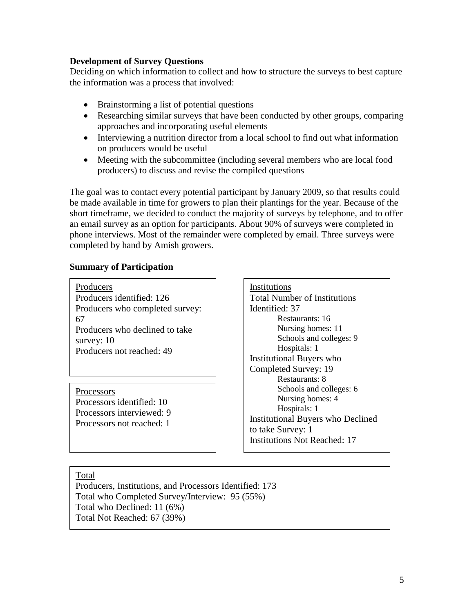### **Development of Survey Questions**

Deciding on which information to collect and how to structure the surveys to best capture the information was a process that involved:

- Brainstorming a list of potential questions
- Researching similar surveys that have been conducted by other groups, comparing approaches and incorporating useful elements
- Interviewing a nutrition director from a local school to find out what information on producers would be useful
- Meeting with the subcommittee (including several members who are local food producers) to discuss and revise the compiled questions

The goal was to contact every potential participant by January 2009, so that results could be made available in time for growers to plan their plantings for the year. Because of the short timeframe, we decided to conduct the majority of surveys by telephone, and to offer an email survey as an option for participants. About 90% of surveys were completed in phone interviews. Most of the remainder were completed by email. Three surveys were completed by hand by Amish growers.

### **Summary of Participation**

**Producers** Producers identified: 126 Producers who completed survey: 67 Producers who declined to take survey: 10 Producers not reached: 49

**Processors** Processors identified: 10 Processors interviewed: 9 Processors not reached: 1 Institutions Total Number of Institutions Identified: 37 Restaurants: 16 Nursing homes: 11 Schools and colleges: 9 Hospitals: 1 Institutional Buyers who Completed Survey: 19 Restaurants: 8 Schools and colleges: 6 Nursing homes: 4 Hospitals: 1 Institutional Buyers who Declined to take Survey: 1 Institutions Not Reached: 17

### Total

Producers, Institutions, and Processors Identified: 173 Total who Completed Survey/Interview: 95 (55%) Total who Declined: 11 (6%) Total Not Reached: 67 (39%)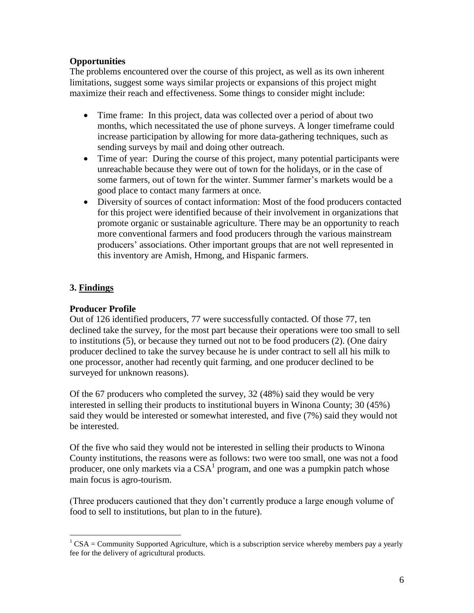# **Opportunities**

The problems encountered over the course of this project, as well as its own inherent limitations, suggest some ways similar projects or expansions of this project might maximize their reach and effectiveness. Some things to consider might include:

- Time frame: In this project, data was collected over a period of about two months, which necessitated the use of phone surveys. A longer timeframe could increase participation by allowing for more data-gathering techniques, such as sending surveys by mail and doing other outreach.
- Time of year: During the course of this project, many potential participants were unreachable because they were out of town for the holidays, or in the case of some farmers, out of town for the winter. Summer farmer's markets would be a good place to contact many farmers at once.
- Diversity of sources of contact information: Most of the food producers contacted for this project were identified because of their involvement in organizations that promote organic or sustainable agriculture. There may be an opportunity to reach more conventional farmers and food producers through the various mainstream producers' associations. Other important groups that are not well represented in this inventory are Amish, Hmong, and Hispanic farmers.

# **3. Findings**

 $\overline{a}$ 

# **Producer Profile**

Out of 126 identified producers, 77 were successfully contacted. Of those 77, ten declined take the survey, for the most part because their operations were too small to sell to institutions (5), or because they turned out not to be food producers (2). (One dairy producer declined to take the survey because he is under contract to sell all his milk to one processor, another had recently quit farming, and one producer declined to be surveyed for unknown reasons).

Of the 67 producers who completed the survey, 32 (48%) said they would be very interested in selling their products to institutional buyers in Winona County; 30 (45%) said they would be interested or somewhat interested, and five (7%) said they would not be interested.

Of the five who said they would not be interested in selling their products to Winona County institutions, the reasons were as follows: two were too small, one was not a food producer, one only markets via a  $CSA<sup>1</sup>$  program, and one was a pumpkin patch whose main focus is agro-tourism.

(Three producers cautioned that they don't currently produce a large enough volume of food to sell to institutions, but plan to in the future).

 $1 \text{CSA} = \text{Commuty}$  Supported Agriculture, which is a subscription service whereby members pay a yearly fee for the delivery of agricultural products.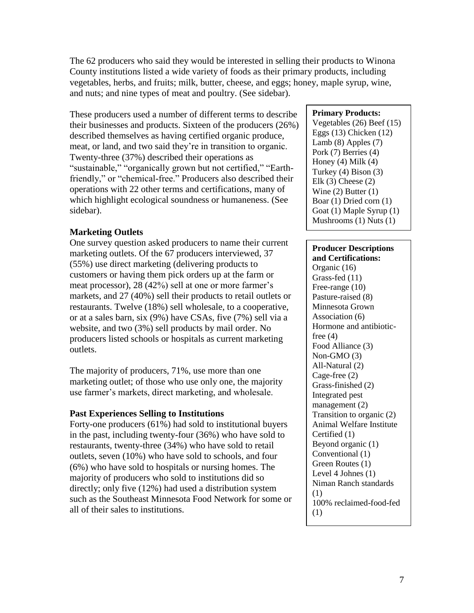The 62 producers who said they would be interested in selling their products to Winona County institutions listed a wide variety of foods as their primary products, including vegetables, herbs, and fruits; milk, butter, cheese, and eggs; honey, maple syrup, wine, and nuts; and nine types of meat and poultry. (See sidebar).

These producers used a number of different terms to describe their businesses and products. Sixteen of the producers (26%) described themselves as having certified organic produce, meat, or land, and two said they're in transition to organic. Twenty-three (37%) described their operations as "sustainable," "organically grown but not certified," "Earthfriendly," or "chemical-free." Producers also described their operations with 22 other terms and certifications, many of which highlight ecological soundness or humaneness. (See sidebar).

# **Marketing Outlets**

One survey question asked producers to name their current marketing outlets. Of the 67 producers interviewed, 37 (55%) use direct marketing (delivering products to customers or having them pick orders up at the farm or meat processor), 28 (42%) sell at one or more farmer's markets, and 27 (40%) sell their products to retail outlets or restaurants. Twelve (18%) sell wholesale, to a cooperative, or at a sales barn, six (9%) have CSAs, five (7%) sell via a website, and two (3%) sell products by mail order. No producers listed schools or hospitals as current marketing outlets.

The majority of producers, 71%, use more than one marketing outlet; of those who use only one, the majority use farmer's markets, direct marketing, and wholesale.

# **Past Experiences Selling to Institutions**

Forty-one producers (61%) had sold to institutional buyers in the past, including twenty-four (36%) who have sold to restaurants, twenty-three (34%) who have sold to retail outlets, seven (10%) who have sold to schools, and four (6%) who have sold to hospitals or nursing homes. The majority of producers who sold to institutions did so directly; only five (12%) had used a distribution system such as the Southeast Minnesota Food Network for some or all of their sales to institutions.

# **Primary Products:**

Vegetables (26) Beef (15) Eggs (13) Chicken (12) Lamb (8) Apples (7) Pork (7) Berries (4) Honey (4) Milk (4) Turkey (4) Bison (3) Elk  $(3)$  Cheese  $(2)$ Wine  $(2)$  Butter  $(1)$ Boar (1) Dried corn (1) Goat (1) Maple Syrup (1) Mushrooms (1) Nuts (1)

# **Producer Descriptions**

**and Certifications:** Organic (16) Grass-fed (11) Free-range (10) Pasture-raised (8) Minnesota Grown Association (6) Hormone and antibioticfree  $(4)$ Food Alliance (3) Non-GMO (3) All-Natural (2) Cage-free (2) Grass-finished (2) Integrated pest management (2) Transition to organic (2) Animal Welfare Institute Certified (1) Beyond organic (1) Conventional (1) Green Routes (1) Level 4 Johnes (1) Niman Ranch standards (1) 100% reclaimed-food-fed (1)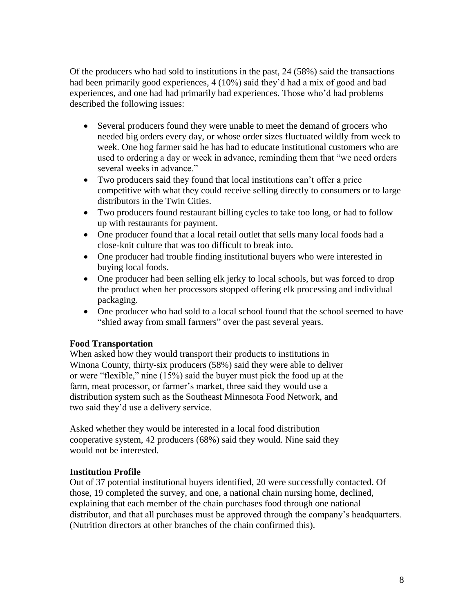Of the producers who had sold to institutions in the past, 24 (58%) said the transactions had been primarily good experiences, 4 (10%) said they'd had a mix of good and bad experiences, and one had had primarily bad experiences. Those who'd had problems described the following issues:

- Several producers found they were unable to meet the demand of grocers who needed big orders every day, or whose order sizes fluctuated wildly from week to week. One hog farmer said he has had to educate institutional customers who are used to ordering a day or week in advance, reminding them that "we need orders several weeks in advance."
- Two producers said they found that local institutions can't offer a price competitive with what they could receive selling directly to consumers or to large distributors in the Twin Cities.
- Two producers found restaurant billing cycles to take too long, or had to follow up with restaurants for payment.
- One producer found that a local retail outlet that sells many local foods had a close-knit culture that was too difficult to break into.
- One producer had trouble finding institutional buyers who were interested in buying local foods.
- One producer had been selling elk jerky to local schools, but was forced to drop the product when her processors stopped offering elk processing and individual packaging.
- One producer who had sold to a local school found that the school seemed to have "shied away from small farmers" over the past several years.

# **Food Transportation**

When asked how they would transport their products to institutions in Winona County, thirty-six producers (58%) said they were able to deliver or were "flexible," nine (15%) said the buyer must pick the food up at the farm, meat processor, or farmer's market, three said they would use a distribution system such as the Southeast Minnesota Food Network, and two said they'd use a delivery service.

Asked whether they would be interested in a local food distribution cooperative system, 42 producers (68%) said they would. Nine said they would not be interested.

# **Institution Profile**

Out of 37 potential institutional buyers identified, 20 were successfully contacted. Of those, 19 completed the survey, and one, a national chain nursing home, declined, explaining that each member of the chain purchases food through one national distributor, and that all purchases must be approved through the company's headquarters. (Nutrition directors at other branches of the chain confirmed this).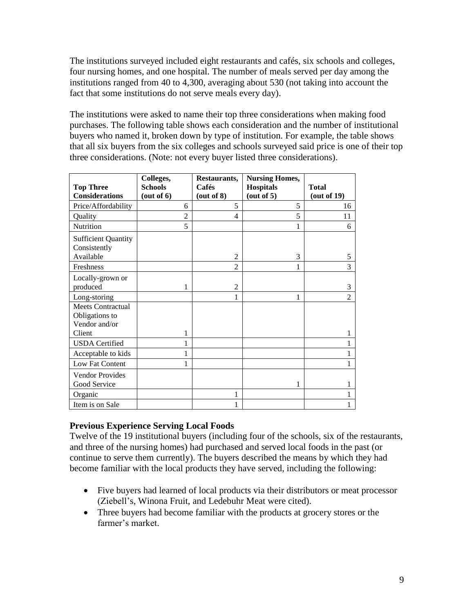The institutions surveyed included eight restaurants and cafés, six schools and colleges, four nursing homes, and one hospital. The number of meals served per day among the institutions ranged from 40 to 4,300, averaging about 530 (not taking into account the fact that some institutions do not serve meals every day).

The institutions were asked to name their top three considerations when making food purchases. The following table shows each consideration and the number of institutional buyers who named it, broken down by type of institution. For example, the table shows that all six buyers from the six colleges and schools surveyed said price is one of their top three considerations. (Note: not every buyer listed three considerations).

| <b>Top Three</b><br><b>Considerations</b>                   | Colleges,<br><b>Schools</b><br>(out of 6) | Restaurants,<br>Cafés<br>(out of 8) | <b>Nursing Homes,</b><br><b>Hospitals</b><br>(out of 5) | <b>Total</b><br>(out of 19) |
|-------------------------------------------------------------|-------------------------------------------|-------------------------------------|---------------------------------------------------------|-----------------------------|
| Price/Affordability                                         | 6                                         | 5                                   | 5                                                       | 16                          |
| Quality                                                     | $\overline{2}$                            | $\overline{\mathcal{L}}$            | 5                                                       | 11                          |
| <b>Nutrition</b>                                            | 5                                         |                                     |                                                         | 6                           |
| <b>Sufficient Quantity</b><br>Consistently<br>Available     |                                           | $\overline{2}$                      | 3                                                       | 5                           |
| Freshness                                                   |                                           | $\overline{2}$                      |                                                         | 3                           |
| Locally-grown or<br>produced                                | 1                                         | $\overline{2}$                      |                                                         | 3                           |
| Long-storing                                                |                                           |                                     | 1                                                       | $\overline{2}$              |
| <b>Meets Contractual</b><br>Obligations to<br>Vendor and/or |                                           |                                     |                                                         |                             |
| Client                                                      | 1                                         |                                     |                                                         | 1                           |
| <b>USDA</b> Certified                                       | 1                                         |                                     |                                                         | 1                           |
| Acceptable to kids                                          | 1                                         |                                     |                                                         | 1                           |
| Low Fat Content                                             | 1                                         |                                     |                                                         | 1                           |
| <b>Vendor Provides</b><br>Good Service                      |                                           |                                     | 1                                                       | 1                           |
| Organic                                                     |                                           | 1                                   |                                                         | 1                           |
| Item is on Sale                                             |                                           |                                     |                                                         | 1                           |

# **Previous Experience Serving Local Foods**

Twelve of the 19 institutional buyers (including four of the schools, six of the restaurants, and three of the nursing homes) had purchased and served local foods in the past (or continue to serve them currently). The buyers described the means by which they had become familiar with the local products they have served, including the following:

- Five buyers had learned of local products via their distributors or meat processor (Ziebell's, Winona Fruit, and Ledebuhr Meat were cited).
- Three buyers had become familiar with the products at grocery stores or the farmer's market.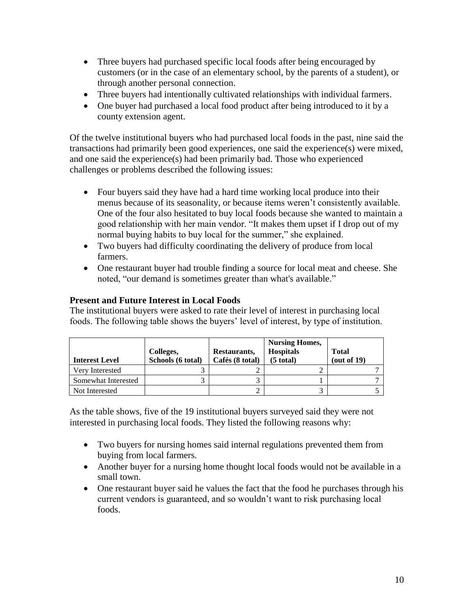- Three buyers had purchased specific local foods after being encouraged by customers (or in the case of an elementary school, by the parents of a student), or through another personal connection.
- Three buyers had intentionally cultivated relationships with individual farmers.
- One buyer had purchased a local food product after being introduced to it by a county extension agent.

Of the twelve institutional buyers who had purchased local foods in the past, nine said the transactions had primarily been good experiences, one said the experience(s) were mixed, and one said the experience(s) had been primarily bad. Those who experienced challenges or problems described the following issues:

- Four buyers said they have had a hard time working local produce into their menus because of its seasonality, or because items weren't consistently available. One of the four also hesitated to buy local foods because she wanted to maintain a good relationship with her main vendor. "It makes them upset if I drop out of my normal buying habits to buy local for the summer," she explained.
- Two buyers had difficulty coordinating the delivery of produce from local farmers.
- One restaurant buyer had trouble finding a source for local meat and cheese. She noted, "our demand is sometimes greater than what's available."

# **Present and Future Interest in Local Foods**

The institutional buyers were asked to rate their level of interest in purchasing local foods. The following table shows the buyers' level of interest, by type of institution.

| <b>Interest Level</b> | Colleges,<br>Schools (6 total) | Restaurants,<br>Cafés (8 total) | <b>Nursing Homes,</b><br><b>Hospitals</b><br>$(5$ total) | <b>Total</b><br>(out of 19) |
|-----------------------|--------------------------------|---------------------------------|----------------------------------------------------------|-----------------------------|
| Very Interested       |                                |                                 |                                                          |                             |
| Somewhat Interested   |                                |                                 |                                                          |                             |
| Not Interested        |                                |                                 |                                                          |                             |

As the table shows, five of the 19 institutional buyers surveyed said they were not interested in purchasing local foods. They listed the following reasons why:

- Two buyers for nursing homes said internal regulations prevented them from buying from local farmers.
- Another buyer for a nursing home thought local foods would not be available in a small town.
- One restaurant buyer said he values the fact that the food he purchases through his current vendors is guaranteed, and so wouldn't want to risk purchasing local foods.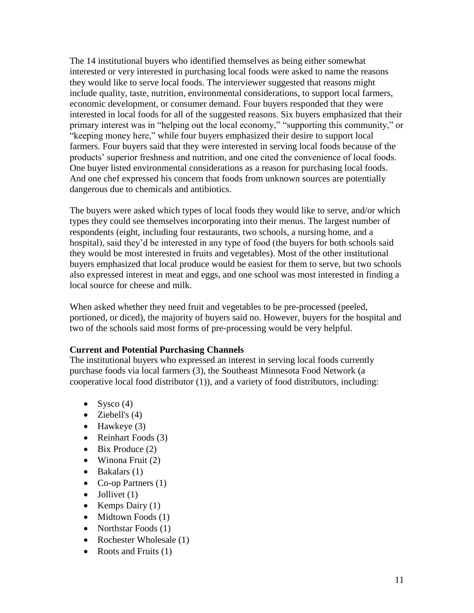The 14 institutional buyers who identified themselves as being either somewhat interested or very interested in purchasing local foods were asked to name the reasons they would like to serve local foods. The interviewer suggested that reasons might include quality, taste, nutrition, environmental considerations, to support local farmers, economic development, or consumer demand. Four buyers responded that they were interested in local foods for all of the suggested reasons. Six buyers emphasized that their primary interest was in "helping out the local economy," "supporting this community," or "keeping money here," while four buyers emphasized their desire to support local farmers. Four buyers said that they were interested in serving local foods because of the products' superior freshness and nutrition, and one cited the convenience of local foods. One buyer listed environmental considerations as a reason for purchasing local foods. And one chef expressed his concern that foods from unknown sources are potentially dangerous due to chemicals and antibiotics.

The buyers were asked which types of local foods they would like to serve, and/or which types they could see themselves incorporating into their menus. The largest number of respondents (eight, including four restaurants, two schools, a nursing home, and a hospital), said they'd be interested in any type of food (the buyers for both schools said they would be most interested in fruits and vegetables). Most of the other institutional buyers emphasized that local produce would be easiest for them to serve, but two schools also expressed interest in meat and eggs, and one school was most interested in finding a local source for cheese and milk.

When asked whether they need fruit and vegetables to be pre-processed (peeled, portioned, or diced), the majority of buyers said no. However, buyers for the hospital and two of the schools said most forms of pre-processing would be very helpful.

# **Current and Potential Purchasing Channels**

The institutional buyers who expressed an interest in serving local foods currently purchase foods via local farmers (3), the Southeast Minnesota Food Network (a cooperative local food distributor (1)), and a variety of food distributors, including:

- Sysco  $(4)$
- Ziebell's  $(4)$
- $\bullet$  Hawkeye (3)
- Reinhart Foods  $(3)$
- $\bullet$  Bix Produce (2)
- $\bullet$  Winona Fruit (2)
- $\bullet$  Bakalars (1)
- Co-op Partners  $(1)$
- $\bullet$  Jollivet (1)
- Kemps Dairy  $(1)$
- $\bullet$  Midtown Foods (1)
- Northstar Foods (1)
- Rochester Wholesale (1)
- Roots and Fruits  $(1)$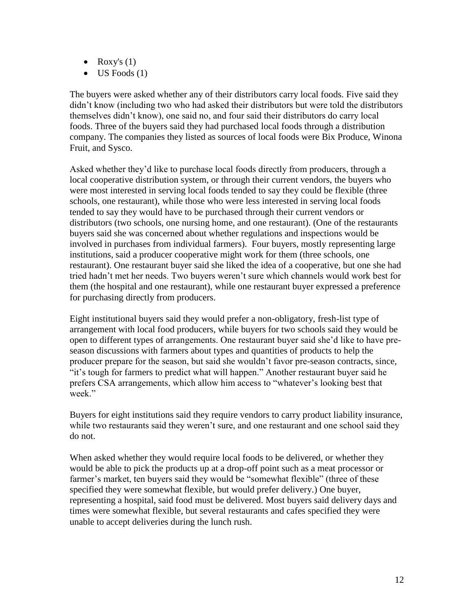- Roxy's  $(1)$
- $\bullet$  US Foods (1)

The buyers were asked whether any of their distributors carry local foods. Five said they didn't know (including two who had asked their distributors but were told the distributors themselves didn't know), one said no, and four said their distributors do carry local foods. Three of the buyers said they had purchased local foods through a distribution company. The companies they listed as sources of local foods were Bix Produce, Winona Fruit, and Sysco.

Asked whether they'd like to purchase local foods directly from producers, through a local cooperative distribution system, or through their current vendors, the buyers who were most interested in serving local foods tended to say they could be flexible (three schools, one restaurant), while those who were less interested in serving local foods tended to say they would have to be purchased through their current vendors or distributors (two schools, one nursing home, and one restaurant). (One of the restaurants buyers said she was concerned about whether regulations and inspections would be involved in purchases from individual farmers). Four buyers, mostly representing large institutions, said a producer cooperative might work for them (three schools, one restaurant). One restaurant buyer said she liked the idea of a cooperative, but one she had tried hadn't met her needs. Two buyers weren't sure which channels would work best for them (the hospital and one restaurant), while one restaurant buyer expressed a preference for purchasing directly from producers.

Eight institutional buyers said they would prefer a non-obligatory, fresh-list type of arrangement with local food producers, while buyers for two schools said they would be open to different types of arrangements. One restaurant buyer said she'd like to have preseason discussions with farmers about types and quantities of products to help the producer prepare for the season, but said she wouldn't favor pre-season contracts, since, "it's tough for farmers to predict what will happen." Another restaurant buyer said he prefers CSA arrangements, which allow him access to "whatever's looking best that week."

Buyers for eight institutions said they require vendors to carry product liability insurance, while two restaurants said they weren't sure, and one restaurant and one school said they do not.

When asked whether they would require local foods to be delivered, or whether they would be able to pick the products up at a drop-off point such as a meat processor or farmer's market, ten buyers said they would be "somewhat flexible" (three of these specified they were somewhat flexible, but would prefer delivery.) One buyer, representing a hospital, said food must be delivered. Most buyers said delivery days and times were somewhat flexible, but several restaurants and cafes specified they were unable to accept deliveries during the lunch rush.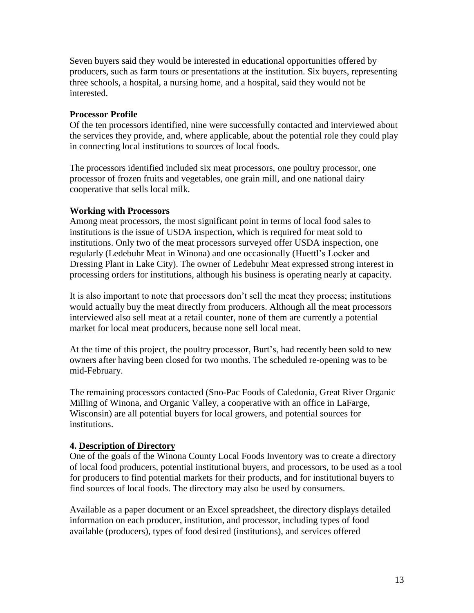Seven buyers said they would be interested in educational opportunities offered by producers, such as farm tours or presentations at the institution. Six buyers, representing three schools, a hospital, a nursing home, and a hospital, said they would not be interested.

## **Processor Profile**

Of the ten processors identified, nine were successfully contacted and interviewed about the services they provide, and, where applicable, about the potential role they could play in connecting local institutions to sources of local foods.

The processors identified included six meat processors, one poultry processor, one processor of frozen fruits and vegetables, one grain mill, and one national dairy cooperative that sells local milk.

### **Working with Processors**

Among meat processors, the most significant point in terms of local food sales to institutions is the issue of USDA inspection, which is required for meat sold to institutions. Only two of the meat processors surveyed offer USDA inspection, one regularly (Ledebuhr Meat in Winona) and one occasionally (Huettl's Locker and Dressing Plant in Lake City). The owner of Ledebuhr Meat expressed strong interest in processing orders for institutions, although his business is operating nearly at capacity.

It is also important to note that processors don't sell the meat they process; institutions would actually buy the meat directly from producers. Although all the meat processors interviewed also sell meat at a retail counter, none of them are currently a potential market for local meat producers, because none sell local meat.

At the time of this project, the poultry processor, Burt's, had recently been sold to new owners after having been closed for two months. The scheduled re-opening was to be mid-February.

The remaining processors contacted (Sno-Pac Foods of Caledonia, Great River Organic Milling of Winona, and Organic Valley, a cooperative with an office in LaFarge, Wisconsin) are all potential buyers for local growers, and potential sources for institutions.

# **4. Description of Directory**

One of the goals of the Winona County Local Foods Inventory was to create a directory of local food producers, potential institutional buyers, and processors, to be used as a tool for producers to find potential markets for their products, and for institutional buyers to find sources of local foods. The directory may also be used by consumers.

Available as a paper document or an Excel spreadsheet, the directory displays detailed information on each producer, institution, and processor, including types of food available (producers), types of food desired (institutions), and services offered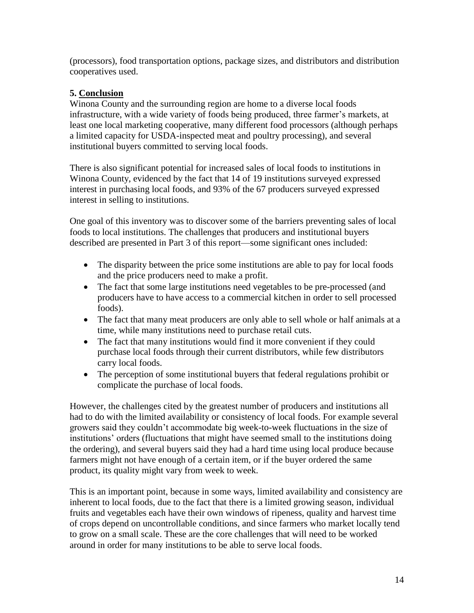(processors), food transportation options, package sizes, and distributors and distribution cooperatives used.

# **5. Conclusion**

Winona County and the surrounding region are home to a diverse local foods infrastructure, with a wide variety of foods being produced, three farmer's markets, at least one local marketing cooperative, many different food processors (although perhaps a limited capacity for USDA-inspected meat and poultry processing), and several institutional buyers committed to serving local foods.

There is also significant potential for increased sales of local foods to institutions in Winona County, evidenced by the fact that 14 of 19 institutions surveyed expressed interest in purchasing local foods, and 93% of the 67 producers surveyed expressed interest in selling to institutions.

One goal of this inventory was to discover some of the barriers preventing sales of local foods to local institutions. The challenges that producers and institutional buyers described are presented in Part 3 of this report—some significant ones included:

- The disparity between the price some institutions are able to pay for local foods and the price producers need to make a profit.
- The fact that some large institutions need vegetables to be pre-processed (and producers have to have access to a commercial kitchen in order to sell processed foods).
- The fact that many meat producers are only able to sell whole or half animals at a time, while many institutions need to purchase retail cuts.
- The fact that many institutions would find it more convenient if they could purchase local foods through their current distributors, while few distributors carry local foods.
- The perception of some institutional buyers that federal regulations prohibit or complicate the purchase of local foods.

However, the challenges cited by the greatest number of producers and institutions all had to do with the limited availability or consistency of local foods. For example several growers said they couldn't accommodate big week-to-week fluctuations in the size of institutions' orders (fluctuations that might have seemed small to the institutions doing the ordering), and several buyers said they had a hard time using local produce because farmers might not have enough of a certain item, or if the buyer ordered the same product, its quality might vary from week to week.

This is an important point, because in some ways, limited availability and consistency are inherent to local foods, due to the fact that there is a limited growing season, individual fruits and vegetables each have their own windows of ripeness, quality and harvest time of crops depend on uncontrollable conditions, and since farmers who market locally tend to grow on a small scale. These are the core challenges that will need to be worked around in order for many institutions to be able to serve local foods.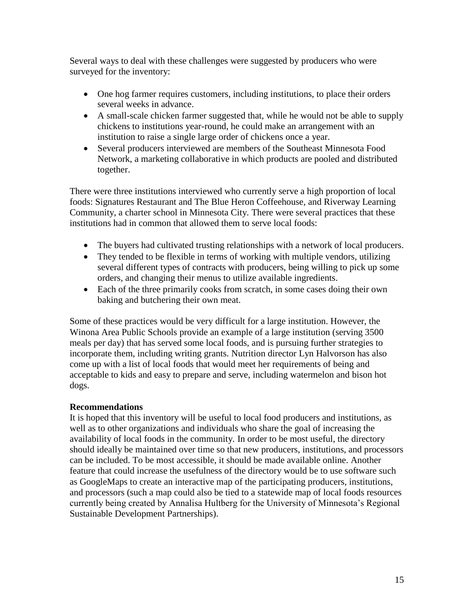Several ways to deal with these challenges were suggested by producers who were surveyed for the inventory:

- One hog farmer requires customers, including institutions, to place their orders several weeks in advance.
- A small-scale chicken farmer suggested that, while he would not be able to supply chickens to institutions year-round, he could make an arrangement with an institution to raise a single large order of chickens once a year.
- Several producers interviewed are members of the Southeast Minnesota Food Network, a marketing collaborative in which products are pooled and distributed together.

There were three institutions interviewed who currently serve a high proportion of local foods: Signatures Restaurant and The Blue Heron Coffeehouse, and Riverway Learning Community, a charter school in Minnesota City. There were several practices that these institutions had in common that allowed them to serve local foods:

- The buyers had cultivated trusting relationships with a network of local producers.
- They tended to be flexible in terms of working with multiple vendors, utilizing several different types of contracts with producers, being willing to pick up some orders, and changing their menus to utilize available ingredients.
- Each of the three primarily cooks from scratch, in some cases doing their own baking and butchering their own meat.

Some of these practices would be very difficult for a large institution. However, the Winona Area Public Schools provide an example of a large institution (serving 3500 meals per day) that has served some local foods, and is pursuing further strategies to incorporate them, including writing grants. Nutrition director Lyn Halvorson has also come up with a list of local foods that would meet her requirements of being and acceptable to kids and easy to prepare and serve, including watermelon and bison hot dogs.

# **Recommendations**

It is hoped that this inventory will be useful to local food producers and institutions, as well as to other organizations and individuals who share the goal of increasing the availability of local foods in the community. In order to be most useful, the directory should ideally be maintained over time so that new producers, institutions, and processors can be included. To be most accessible, it should be made available online. Another feature that could increase the usefulness of the directory would be to use software such as GoogleMaps to create an interactive map of the participating producers, institutions, and processors (such a map could also be tied to a statewide map of local foods resources currently being created by Annalisa Hultberg for the University of Minnesota's Regional Sustainable Development Partnerships).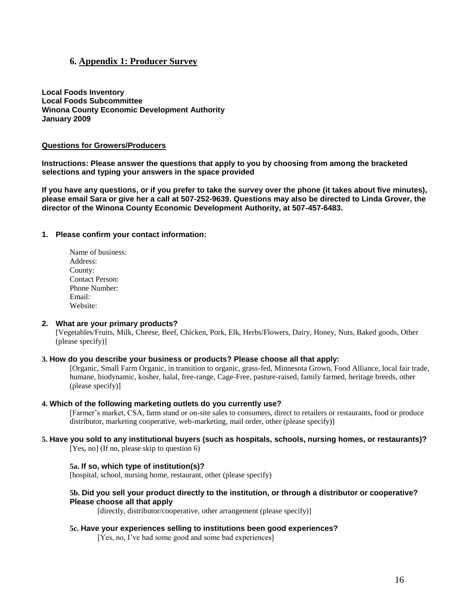#### **6. Appendix 1: Producer Survey**

**Local Foods Inventory Local Foods Subcommittee Winona County Economic Development Authority January 2009**

#### **Questions for Growers/Producers**

**Instructions: Please answer the questions that apply to you by choosing from among the bracketed selections and typing your answers in the space provided**

**If you have any questions, or if you prefer to take the survey over the phone (it takes about five minutes), please email Sara or give her a call at 507-252-9639. Questions may also be directed to Linda Grover, the director of the Winona County Economic Development Authority, at 507-457-6483.**

#### **1. Please confirm your contact information:**

| Name of business:      |
|------------------------|
| Address:               |
| County:                |
| <b>Contact Person:</b> |
| Phone Number:          |
| Email:                 |
| Website:               |

#### **2. What are your primary products?**

[Vegetables/Fruits, Milk, Cheese, Beef, Chicken, Pork, Elk, Herbs/Flowers, Dairy, Honey, Nuts, Baked goods, Other (please specify)]

#### **3. How do you describe your business or products? Please choose all that apply:**

[Organic, Small Farm Organic, in transition to organic, grass-fed, Minnesota Grown, Food Alliance, local fair trade, humane, biodynamic, kosher, halal, free-range, Cage-Free, pasture-raised, family farmed, heritage breeds, other (please specify)]

#### **4. Which of the following marketing outlets do you currently use?**

[Farmer's market, CSA, farm stand or on-site sales to consumers, direct to retailers or restaurants, food or produce distributor, marketing cooperative, web-marketing, mail order, other (please specify)]

# **5. Have you sold to any institutional buyers (such as hospitals, schools, nursing homes, or restaurants)?**

[Yes, no] (If no, please skip to question 6)

#### **5a. If so, which type of institution(s)?**

[hospital, school, nursing home, restaurant, other (please specify)

#### **5b. Did you sell your product directly to the institution, or through a distributor or cooperative? Please choose all that apply**

[directly, distributor/cooperative, other arrangement (please specify)]

#### **5c. Have your experiences selling to institutions been good experiences?**

[Yes, no, I've had some good and some bad experiences]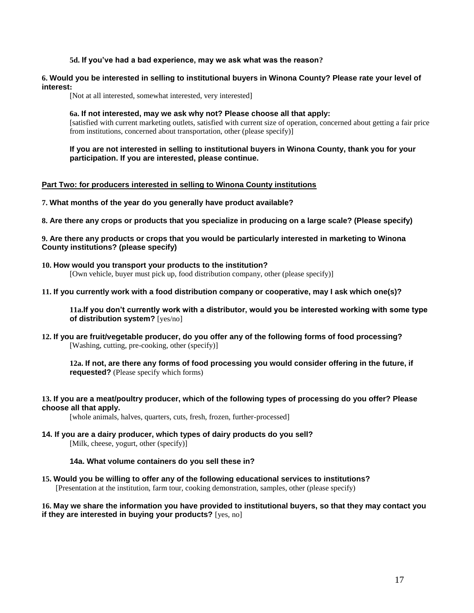#### **5d. If you've had a bad experience, may we ask what was the reason?**

#### **6. Would you be interested in selling to institutional buyers in Winona County? Please rate your level of interest:**

[Not at all interested, somewhat interested, very interested]

#### **6a. If not interested, may we ask why not? Please choose all that apply:**

[satisfied with current marketing outlets, satisfied with current size of operation, concerned about getting a fair price from institutions, concerned about transportation, other (please specify)]

**If you are not interested in selling to institutional buyers in Winona County, thank you for your participation. If you are interested, please continue.**

#### **Part Two: for producers interested in selling to Winona County institutions**

**7. What months of the year do you generally have product available?**

**8. Are there any crops or products that you specialize in producing on a large scale? (Please specify)**

#### **9. Are there any products or crops that you would be particularly interested in marketing to Winona County institutions? (please specify)**

#### **10. How would you transport your products to the institution?**

[Own vehicle, buyer must pick up, food distribution company, other (please specify)]

#### **11. If you currently work with a food distribution company or cooperative, may I ask which one(s)?**

**11a.If you don't currently work with a distributor, would you be interested working with some type of distribution system?** [yes/no]

**12. If you are fruit/vegetable producer, do you offer any of the following forms of food processing?** [Washing, cutting, pre-cooking, other (specify)]

**12a. If not, are there any forms of food processing you would consider offering in the future, if requested?** (Please specify which forms)

#### **13. If you are a meat/poultry producer, which of the following types of processing do you offer? Please choose all that apply.**

[whole animals, halves, quarters, cuts, fresh, frozen, further-processed]

**14. If you are a dairy producer, which types of dairy products do you sell?**

[Milk, cheese, yogurt, other (specify)]

#### **14a. What volume containers do you sell these in?**

**15. Would you be willing to offer any of the following educational services to institutions?**

[Presentation at the institution, farm tour, cooking demonstration, samples, other (please specify)

#### **16. May we share the information you have provided to institutional buyers, so that they may contact you if they are interested in buying your products?** [yes, no]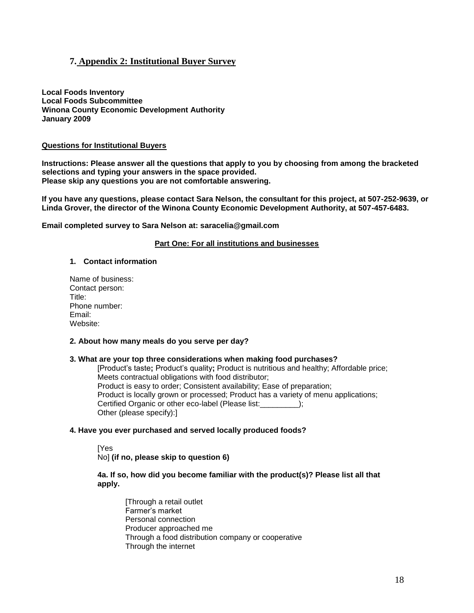### **7. Appendix 2: Institutional Buyer Survey**

**Local Foods Inventory Local Foods Subcommittee Winona County Economic Development Authority January 2009**

#### **Questions for Institutional Buyers**

**Instructions: Please answer all the questions that apply to you by choosing from among the bracketed selections and typing your answers in the space provided. Please skip any questions you are not comfortable answering.** 

**If you have any questions, please contact Sara Nelson, the consultant for this project, at 507-252-9639, or Linda Grover, the director of the Winona County Economic Development Authority, at 507-457-6483.**

**Email completed survey to Sara Nelson at: saracelia@gmail.com**

#### **Part One: For all institutions and businesses**

#### **1. Contact information**

Name of business: Contact person: Title: Phone number: Email: Website:

#### **2. About how many meals do you serve per day?**

#### **3. What are your top three considerations when making food purchases?**

[Product's taste**;** Product's quality**;** Product is nutritious and healthy; Affordable price; Meets contractual obligations with food distributor; Product is easy to order; Consistent availability; Ease of preparation; Product is locally grown or processed; Product has a variety of menu applications; Certified Organic or other eco-label (Please list:\_\_\_\_\_\_\_\_\_); Other (please specify):]

#### **4. Have you ever purchased and served locally produced foods?**

[Yes No] **(if no, please skip to question 6)**

#### **4a. If so, how did you become familiar with the product(s)? Please list all that apply.**

[Through a retail outlet Farmer's market Personal connection Producer approached me Through a food distribution company or cooperative Through the internet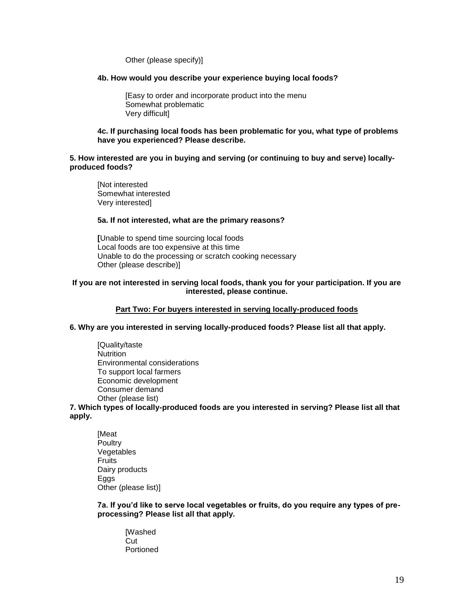Other (please specify)]

#### **4b. How would you describe your experience buying local foods?**

[Easy to order and incorporate product into the menu Somewhat problematic Very difficult]

#### **4c. If purchasing local foods has been problematic for you, what type of problems have you experienced? Please describe.**

#### **5. How interested are you in buying and serving (or continuing to buy and serve) locallyproduced foods?**

[Not interested Somewhat interested Very interested]

#### **5a. If not interested, what are the primary reasons?**

**[**Unable to spend time sourcing local foods Local foods are too expensive at this time Unable to do the processing or scratch cooking necessary Other (please describe)]

#### **If you are not interested in serving local foods, thank you for your participation. If you are interested, please continue.**

#### **Part Two: For buyers interested in serving locally-produced foods**

#### **6. Why are you interested in serving locally-produced foods? Please list all that apply.**

[Quality/taste **Nutrition** Environmental considerations To support local farmers Economic development Consumer demand Other (please list)

**7. Which types of locally-produced foods are you interested in serving? Please list all that apply.**

[Meat **Poultry** Vegetables **Fruits** Dairy products Eggs Other (please list)]

**7a. If you'd like to serve local vegetables or fruits, do you require any types of preprocessing? Please list all that apply.**

[Washed Cut. Portioned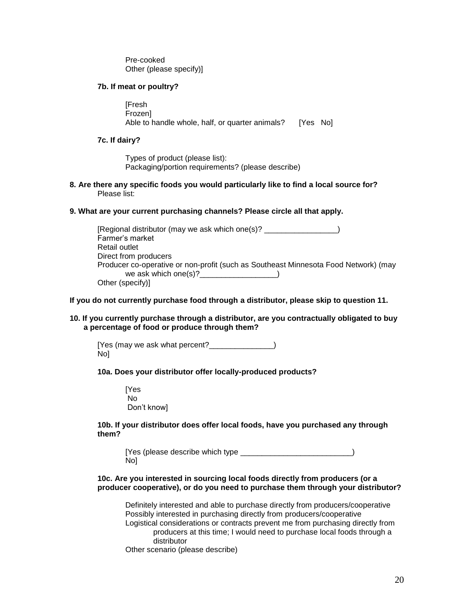Pre-cooked Other (please specify)]

#### **7b. If meat or poultry?**

**[Fresh** Frozen] Able to handle whole, half, or quarter animals? [Yes No]

#### **7c. If dairy?**

Types of product (please list): Packaging/portion requirements? (please describe)

**8. Are there any specific foods you would particularly like to find a local source for?** Please list:

#### **9. What are your current purchasing channels? Please circle all that apply.**

| [Regional distributor (may we ask which one(s)? ______                              |  |
|-------------------------------------------------------------------------------------|--|
| Farmer's market                                                                     |  |
| Retail outlet                                                                       |  |
| Direct from producers                                                               |  |
| Producer co-operative or non-profit (such as Southeast Minnesota Food Network) (may |  |
| we ask which one(s)? $\frac{1}{2}$                                                  |  |
| Other (specify)]                                                                    |  |

#### **If you do not currently purchase food through a distributor, please skip to question 11.**

#### **10. If you currently purchase through a distributor, are you contractually obligated to buy a percentage of food or produce through them?**

[Yes (may we ask what percent?\_\_\_\_\_\_\_\_\_\_\_\_\_\_\_) No]

**10a. Does your distributor offer locally-produced products?**

[Yes No Don't know]

#### **10b. If your distributor does offer local foods, have you purchased any through them?**

[Yes (please describe which type  $\Box$ No]

#### **10c. Are you interested in sourcing local foods directly from producers (or a producer cooperative), or do you need to purchase them through your distributor?**

Definitely interested and able to purchase directly from producers/cooperative Possibly interested in purchasing directly from producers/cooperative Logistical considerations or contracts prevent me from purchasing directly from producers at this time; I would need to purchase local foods through a distributor

Other scenario (please describe)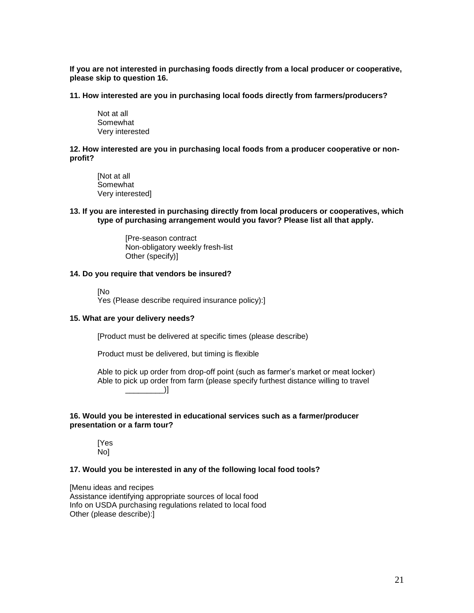**If you are not interested in purchasing foods directly from a local producer or cooperative, please skip to question 16.**

**11. How interested are you in purchasing local foods directly from farmers/producers?**

Not at all **Somewhat** Very interested

**12. How interested are you in purchasing local foods from a producer cooperative or nonprofit?**

[Not at all Somewhat Very interested]

**13. If you are interested in purchasing directly from local producers or cooperatives, which type of purchasing arrangement would you favor? Please list all that apply.**

> [Pre-season contract Non-obligatory weekly fresh-list Other (specify)]

#### **14. Do you require that vendors be insured?**

[No

Yes (Please describe required insurance policy):]

#### **15. What are your delivery needs?**

[Product must be delivered at specific times (please describe)

Product must be delivered, but timing is flexible

Able to pick up order from drop-off point (such as farmer's market or meat locker) Able to pick up order from farm (please specify furthest distance willing to travel  $\Box$ 

#### **16. Would you be interested in educational services such as a farmer/producer presentation or a farm tour?**

[Yes No]

#### **17. Would you be interested in any of the following local food tools?**

[Menu ideas and recipes Assistance identifying appropriate sources of local food Info on USDA purchasing regulations related to local food Other (please describe):]